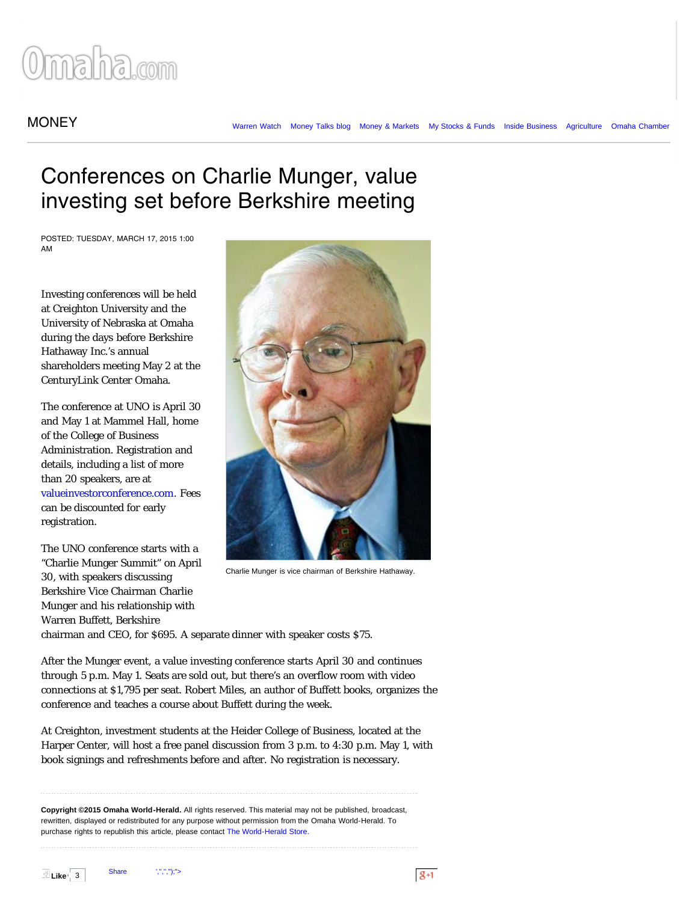## maha.com

## MONEY The [Money Talks blog](http://www.omaha.com/money/blog/) [Money & Markets](http://www.omaha.com/money/markets/) [My Stocks & Funds](http://www.omaha.com/money/stocks/) [Inside Business](http://www.omaha.com/money/inside-business/) [Agriculture](http://omaha.agnet.net/) [Omaha Chamber](http://www.omaha.com/chamber/)

## Conferences on Charlie Munger, value investing set before Berkshire meeting

POSTED: TUESDAY, MARCH 17, 2015 1:00 AM

Investing conferences will be held at Creighton University and the University of Nebraska at Omaha during the days before Berkshire Hathaway Inc.'s annual shareholders meeting May 2 at the CenturyLink Center Omaha.

The conference at UNO is April 30 and May 1 at Mammel Hall, home of the College of Business Administration. Registration and details, including a list of more than 20 speakers, are at [valueinvestorconference.com](http://valueinvestorconference.com/). Fees can be discounted for early registration.

The UNO conference starts with a "Charlie Munger Summit" on April 30, with speakers discussing Berkshire Vice Chairman Charlie Munger and his relationship with Warren Buffett, Berkshire



Charlie Munger is vice chairman of Berkshire Hathaway.

chairman and CEO, for \$695. A separate dinner with speaker costs \$75.

After the Munger event, a value investing conference starts April 30 and continues through 5 p.m. May 1. Seats are sold out, but there's an overflow room with video connections at \$1,795 per seat. Robert Miles, an author of Buffett books, organizes the conference and teaches a course about Buffett during the week.

At Creighton, investment students at the Heider College of Business, located at the Harper Center, will host a free panel discussion from 3 p.m. to 4:30 p.m. May 1, with book signings and refreshments before and after. No registration is necessary.

**Copyright ©2015 Omaha World-Herald.** All rights reserved. This material may not be published, broadcast, rewritten, displayed or redistributed for any purpose without permission from the Omaha World-Herald. To purchase rights to republish this article, please contact [The World-Herald Store.](http://www.owhstore.com/)

 $\overline{\mathbb{E}}$  Like $\left| \begin{array}{c} 3 \end{array} \right|$